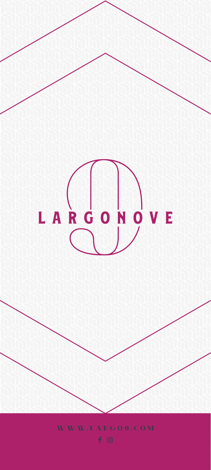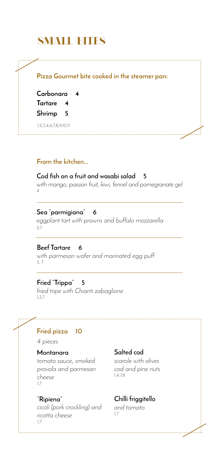# SMALL BITES SMALL BITES

# **Pizza Gourmet bite cooked in the steamer pan:**

**Carbonara 4 Tartare 4 Shrimp 5**

*1,2,3,4,6,7,8,9,10,11*

## **From the kitchen...**

#### **Cod fish on a fruit and wasabi salad 5**

*with mango, passion fruit, kiwi, fennel and pomegranate gel 4*

### **Sea "parmigiana" 6**

*eggplant tart with prawns and buffalo mozzarella 2,7*

#### **Beef Tartare 6**

*with parmesan wafer and marinated egg puff 3, 7*

## **Fried "Trippa" 5**

*fried tripe with Chianti zabaglione 1,3,7*

# **Fried pizza 10**

*4 pieces*

#### **Montanara**

*tomato sauce, smoked provola and parmesan cheese 1,7*

#### **"Ripiena"**

*cicoli (pork crockling) and ricotta cheese 1,7*

## **Salted cod**

*scarole with olives cod and pine nuts 1,4,7,8*

# **Chilli friggitello**

*and tomato 1,7*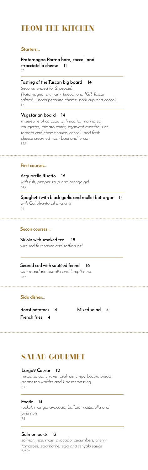**Pratomagno Parma ham, coccoli and stracciatella cheese 11** *1,7*

#### **Acquarello Risotto 16**

*with fish, pepper soup and orange gel 1,4,7*

# **Tasting of the Tuscan big board 14**

**Spaghetti with black garlic and mullet bottargar 14** *with Coltofranto oil and chili 1,4*

*(recommended for 2 people) Pratomagno raw ham, finocchiona IGP, Tuscan salami, Tuscan pecorino cheese, pork cup and coccoli 1,7*

#### **Vegetarian board 14**

*millefeuille of carasau with ricotta, marinated courgettes, tomato confit, eggplant meatballs on tomato and cheese sauce, coccoli and fresh cheese creamed with basil and lemon 1,3,7*

# FROM THE KITCHEN

## **Starters...**

#### **First courses...**

**Sirloin with smoked tea 18** *with red fruit sauce and saffron gel*

#### **Secon courses...**

# **Seared cod with sautéed fennel 16**

*with mandarin burrolio and lumpfish roe 1,4,7*

## **Side dishes...**

**Roast potatoes 4 Mixed salad 4 French fries 4** 

### **Largo9 Caesar 12**

*mixed salad, chicken pralines, crispy bacon, bread parmesan waffles and Caesar dressing 1,3,7*

#### **Exotic 14**

# SALAD GOURMET SALAD GOURMET

*rocket, mango, avocado, buffalo mozzarella and pine nuts 7,8*

# **Salmon pokè 13**

*salmon, rice, mais, avocado, cucumbers, cherry tomatoes, edamame, egg and teriyaki sauce 4,6,7,11*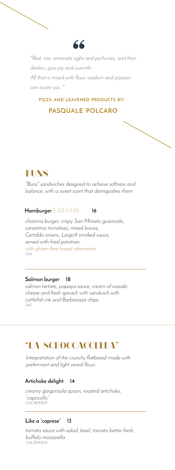

*"Rest, rise, emanate sighs and perfumes, and then darken, give joy and warmth. All that is mixed with flour, wisdom and passion can excite you. "*

# **PIZZA AND LEAVENED PRODUCTS BY: PASQUALE POLCARO**



*"Buns" sandwiches designed to achieve softness and balance, with a sweet scent that distinguishes them.*

# **Hamburger** LARGO9 **16**

*chianina burger, crispy San Miniato guanciale, canestrino tomatoes, mixed leaves, Certaldo onions, Largo9 smoked sauce, served with fried potatoes with gluten-free bread alternative 1,3,6*

## **Salmon burger 18**

*salmon tartare, papaya sauce, cream of wasabi cheese and fresh spinach with sandwich with cuttlefish ink and Barbarossa chips 1,4,7*

# "LA SCROCCACCELLA" "LA SCROCCACCELLA"

*Interpretation of the crunchy flatbread made with preferment and light cereal flouri.*

# **Artichoke delight 14**

*creamy gorgonzola spoon, roasted artichoke, "capocollo" 1,3,6,7,8,9,10,11*

# **Like a "caprese" 13**

*tomato sauce with salad, basil, tomato better fresh, buffalo mozzarella 1,3,6,7,8,9,10,11*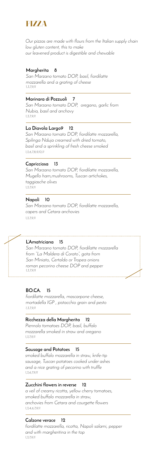

## **BO.CA. 15**

*fiordilatte mozzarella, mascarpone cheese, mortadella IGP , pistacchio grain and pesto 1,3,7,9,11*

## **Margherita 8**

*San Marzano tomato DOP, basil, fiordilatte mozzarella and a grating of cheese 1,3,7,9,11*

### **La Diavola Largo9 12**

*San Marzano tomato DOP, fiordilatte mozzarella, Spilinga Nduja creamed with dried tomato, basil and a sprinkling of fresh cheese smoked 1,3,6,7,8,9,10,11*

### **Ricchezza della Margherita 12**

*Piennolo tomatoes DOP, basil, buffalo mozzarella smoked in straw and oregano 1,3,7,9,11*

### **L'Amatriciana 15**

*San Marzano tomato DOP, fiordilatte mozzarella from "La Maldera di Corato", gota from San Miniato, Certaldo or Tropea onions roman pecorino cheese DOP and pepper 1,3,7,9,11*

### **Napoli 10**

*San Marzano tomato DOP, fiordilatte mozzarella, capers and Cetara anchovies 1,3,7,9,11*

*Our pizzas are made with flours from the Italian supply chain low gluten content, this to make our leavened product is digestible and chewable* 

#### **Marinara di Pozzuoli 7**

*San Marzano tomato DOP, oregano, garlic from Nubia, basil and anchovy 1,3,7,9,11*

### **Capricciosa 13**

*San Marzano tomato DOP, fiordilatte mozzarella, Mugello ham,mushrooms, Tuscan artichokes, taggiasche olives 1,3,7,9,11*

#### **Sausage and Potatoes 15**

*smoked buffalo mozzarella in straw, knife-tip sausage, Tuscan potatoes cooked under ashes and a nice grating of pecorino with truffle 1,3,6,7,9,11*

### **Zucchini flowers in reverse 12**

*a veil of creamy ricotta, yellow cherry tomatoes, smoked buffalo mozzarella in straw, anchovies from Cetara and courgette flowers 1,3,4,6,7,9,11*

## **Calzone verace 12**

*fiordilatte mozzarella, ricotta, Napoli salami, pepper and with margheritina in the top 1,3,7,9,11*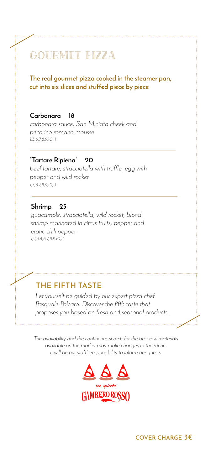# GOURMET PIZZA

### **The real gourmet pizza cooked in the steamer pan, cut into six slices and stuffed piece by piece**

#### **Carbonara 18**

*carbonara sauce, San Miniato cheek and pecorino romano mousse 1,3,6,7,8,9,10,11*

### **"Tartare Ripiena" 20**

*beef tartare, stracciatella with truffle, egg with pepper and wild rocket 1,3,6,7,8,9,10,11*

#### **Shrimp 25**

*guacamole, stracciatella, wild rocket, blond shrimp marinated in citrus fruits, pepper and erotic chili pepper 1,2,3,4,6,7,8,9,10,11*

#### **THE FIFTH TASTE**

*Let yourself be guided by our expert pizza chef Pasquale Polcaro. Discover the fifth taste that proposes you based on fresh and seasonal products.*

*The availability and the continuous search for the best raw materials available on the market may make changes to the menu. It will be our staff's responsibility to inform our guests.*